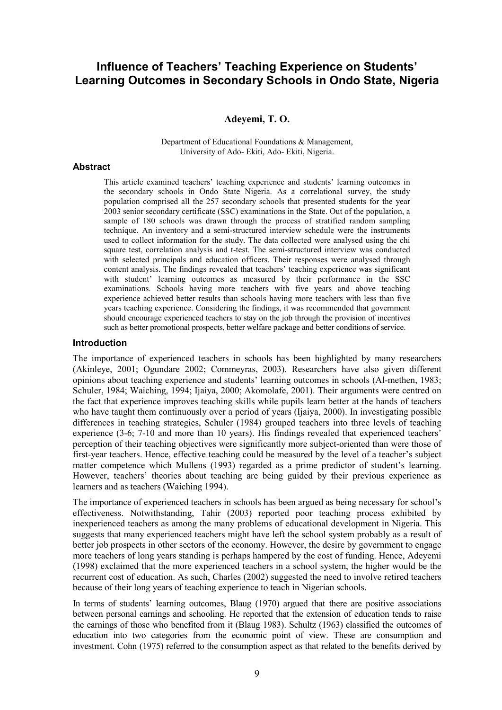# **Influence of Teachers' Teaching Experience on Students' Learning Outcomes in Secondary Schools in Ondo State, Nigeria**

#### **Adeyemi, T. O.**

Department of Educational Foundations & Management, University of Ado- Ekiti, Ado- Ekiti, Nigeria.

#### **Abstract**

This article examined teachers' teaching experience and students' learning outcomes in the secondary schools in Ondo State Nigeria. As a correlational survey, the study population comprised all the 257 secondary schools that presented students for the year 2003 senior secondary certificate (SSC) examinations in the State. Out of the population, a sample of 180 schools was drawn through the process of stratified random sampling technique. An inventory and a semi-structured interview schedule were the instruments used to collect information for the study. The data collected were analysed using the chi square test, correlation analysis and t-test. The semi-structured interview was conducted with selected principals and education officers. Their responses were analysed through content analysis. The findings revealed that teachers' teaching experience was significant with student' learning outcomes as measured by their performance in the SSC examinations. Schools having more teachers with five years and above teaching experience achieved better results than schools having more teachers with less than five years teaching experience. Considering the findings, it was recommended that government should encourage experienced teachers to stay on the job through the provision of incentives such as better promotional prospects, better welfare package and better conditions of service.

#### **Introduction**

The importance of experienced teachers in schools has been highlighted by many researchers (Akinleye, 2001; Ogundare 2002; Commeyras, 2003). Researchers have also given different opinions about teaching experience and students' learning outcomes in schools (Al-methen, 1983; Schuler, 1984; Waiching, 1994; Ijaiya, 2000; Akomolafe, 2001). Their arguments were centred on the fact that experience improves teaching skills while pupils learn better at the hands of teachers who have taught them continuously over a period of years (Ijaiya, 2000). In investigating possible differences in teaching strategies, Schuler (1984) grouped teachers into three levels of teaching experience (3-6; 7-10 and more than 10 years). His findings revealed that experienced teachers' perception of their teaching objectives were significantly more subject-oriented than were those of first-year teachers. Hence, effective teaching could be measured by the level of a teacher's subject matter competence which Mullens (1993) regarded as a prime predictor of student's learning. However, teachers' theories about teaching are being guided by their previous experience as learners and as teachers (Waiching 1994).

The importance of experienced teachers in schools has been argued as being necessary for school's effectiveness. Notwithstanding, Tahir (2003) reported poor teaching process exhibited by inexperienced teachers as among the many problems of educational development in Nigeria. This suggests that many experienced teachers might have left the school system probably as a result of better job prospects in other sectors of the economy. However, the desire by government to engage more teachers of long years standing is perhaps hampered by the cost of funding. Hence, Adeyemi (1998) exclaimed that the more experienced teachers in a school system, the higher would be the recurrent cost of education. As such, Charles (2002) suggested the need to involve retired teachers because of their long years of teaching experience to teach in Nigerian schools.

In terms of students' learning outcomes, Blaug (1970) argued that there are positive associations between personal earnings and schooling. He reported that the extension of education tends to raise the earnings of those who benefited from it (Blaug 1983). Schultz (1963) classified the outcomes of education into two categories from the economic point of view. These are consumption and investment. Cohn (1975) referred to the consumption aspect as that related to the benefits derived by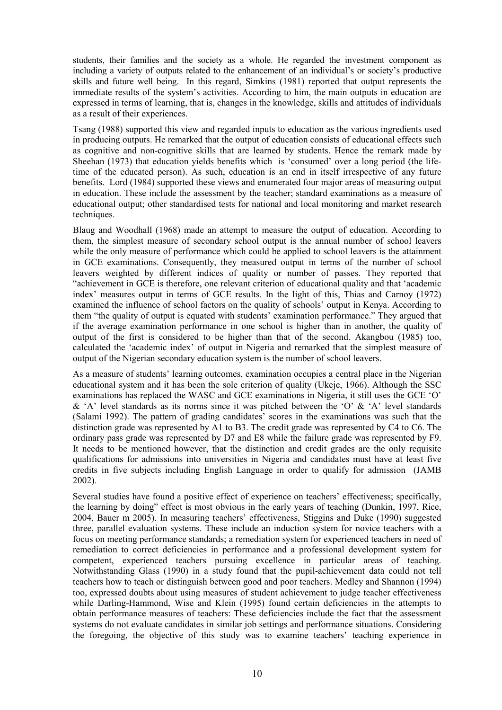students, their families and the society as a whole. He regarded the investment component as including a variety of outputs related to the enhancement of an individual's or society's productive skills and future well being. In this regard, Simkins (1981) reported that output represents the immediate results of the system's activities. According to him, the main outputs in education are expressed in terms of learning, that is, changes in the knowledge, skills and attitudes of individuals as a result of their experiences.

Tsang (1988) supported this view and regarded inputs to education as the various ingredients used in producing outputs. He remarked that the output of education consists of educational effects such as cognitive and non-cognitive skills that are learned by students. Hence the remark made by Sheehan (1973) that education yields benefits which is 'consumed' over a long period (the lifetime of the educated person). As such, education is an end in itself irrespective of any future benefits. Lord (1984) supported these views and enumerated four major areas of measuring output in education. These include the assessment by the teacher; standard examinations as a measure of educational output; other standardised tests for national and local monitoring and market research techniques.

Blaug and Woodhall (1968) made an attempt to measure the output of education. According to them, the simplest measure of secondary school output is the annual number of school leavers while the only measure of performance which could be applied to school leavers is the attainment in GCE examinations. Consequently, they measured output in terms of the number of school leavers weighted by different indices of quality or number of passes. They reported that "achievement in GCE is therefore, one relevant criterion of educational quality and that 'academic index' measures output in terms of GCE results. In the light of this, Thias and Carnoy (1972) examined the influence of school factors on the quality of schools' output in Kenya. According to them "the quality of output is equated with students' examination performance." They argued that if the average examination performance in one school is higher than in another, the quality of output of the first is considered to be higher than that of the second. Akangbou (1985) too, calculated the 'academic index' of output in Nigeria and remarked that the simplest measure of output of the Nigerian secondary education system is the number of school leavers.

As a measure of students' learning outcomes, examination occupies a central place in the Nigerian educational system and it has been the sole criterion of quality (Ukeje, 1966). Although the SSC examinations has replaced the WASC and GCE examinations in Nigeria, it still uses the GCE 'O'  $\&$  'A' level standards as its norms since it was pitched between the 'O'  $\&$  'A' level standards (Salami 1992). The pattern of grading candidates' scores in the examinations was such that the distinction grade was represented by A1 to B3. The credit grade was represented by C4 to C6. The ordinary pass grade was represented by D7 and E8 while the failure grade was represented by F9. It needs to be mentioned however, that the distinction and credit grades are the only requisite qualifications for admissions into universities in Nigeria and candidates must have at least five credits in five subjects including English Language in order to qualify for admission (JAMB 2002).

Several studies have found a positive effect of experience on teachers' effectiveness; specifically, the learning by doing" effect is most obvious in the early years of teaching (Dunkin, 1997, Rice, 2004, Bauer m 2005). In measuring teachers' effectiveness, Stiggins and Duke (1990) suggested three, parallel evaluation systems. These include an induction system for novice teachers with a focus on meeting performance standards; a remediation system for experienced teachers in need of remediation to correct deficiencies in performance and a professional development system for competent, experienced teachers pursuing excellence in particular areas of teaching. Notwithstanding Glass (1990) in a study found that the pupil-achievement data could not tell teachers how to teach or distinguish between good and poor teachers. Medley and Shannon (1994) too, expressed doubts about using measures of student achievement to judge teacher effectiveness while Darling-Hammond, Wise and Klein (1995) found certain deficiencies in the attempts to obtain performance measures of teachers: These deficiencies include the fact that the assessment systems do not evaluate candidates in similar job settings and performance situations. Considering the foregoing, the objective of this study was to examine teachers' teaching experience in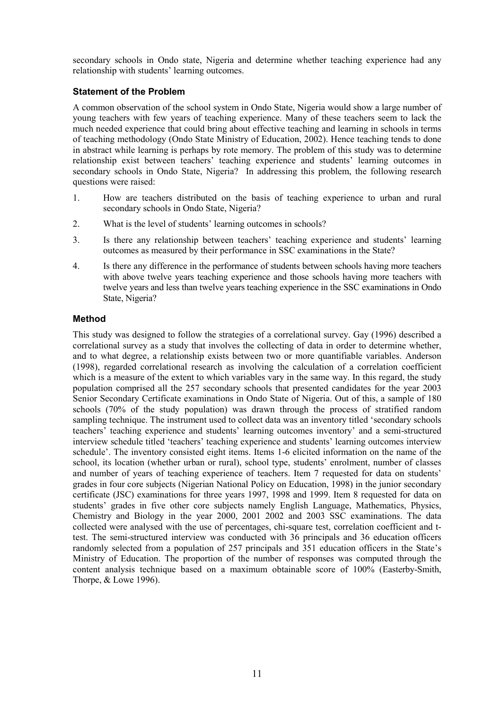secondary schools in Ondo state, Nigeria and determine whether teaching experience had any relationship with students' learning outcomes.

### **Statement of the Problem**

A common observation of the school system in Ondo State, Nigeria would show a large number of young teachers with few years of teaching experience. Many of these teachers seem to lack the much needed experience that could bring about effective teaching and learning in schools in terms of teaching methodology (Ondo State Ministry of Education, 2002). Hence teaching tends to done in abstract while learning is perhaps by rote memory. The problem of this study was to determine relationship exist between teachers' teaching experience and students' learning outcomes in secondary schools in Ondo State, Nigeria? In addressing this problem, the following research questions were raised:

- 1. How are teachers distributed on the basis of teaching experience to urban and rural secondary schools in Ondo State, Nigeria?
- 2. What is the level of students' learning outcomes in schools?
- 3. Is there any relationship between teachers' teaching experience and students' learning outcomes as measured by their performance in SSC examinations in the State?
- 4. Is there any difference in the performance of students between schools having more teachers with above twelve years teaching experience and those schools having more teachers with twelve years and less than twelve years teaching experience in the SSC examinations in Ondo State, Nigeria?

#### **Method**

This study was designed to follow the strategies of a correlational survey. Gay (1996) described a correlational survey as a study that involves the collecting of data in order to determine whether, and to what degree, a relationship exists between two or more quantifiable variables. Anderson (1998), regarded correlational research as involving the calculation of a correlation coefficient which is a measure of the extent to which variables vary in the same way. In this regard, the study population comprised all the 257 secondary schools that presented candidates for the year 2003 Senior Secondary Certificate examinations in Ondo State of Nigeria. Out of this, a sample of 180 schools (70% of the study population) was drawn through the process of stratified random sampling technique. The instrument used to collect data was an inventory titled 'secondary schools teachers' teaching experience and students' learning outcomes inventory' and a semi-structured interview schedule titled 'teachers' teaching experience and students' learning outcomes interview schedule'. The inventory consisted eight items. Items 1-6 elicited information on the name of the school, its location (whether urban or rural), school type, students' enrolment, number of classes and number of years of teaching experience of teachers. Item 7 requested for data on students' grades in four core subjects (Nigerian National Policy on Education, 1998) in the junior secondary certificate (JSC) examinations for three years 1997, 1998 and 1999. Item 8 requested for data on students' grades in five other core subjects namely English Language, Mathematics, Physics, Chemistry and Biology in the year 2000, 2001 2002 and 2003 SSC examinations. The data collected were analysed with the use of percentages, chi-square test, correlation coefficient and ttest. The semi-structured interview was conducted with 36 principals and 36 education officers randomly selected from a population of 257 principals and 351 education officers in the State's Ministry of Education. The proportion of the number of responses was computed through the content analysis technique based on a maximum obtainable score of 100% (Easterby-Smith, Thorpe, & Lowe 1996).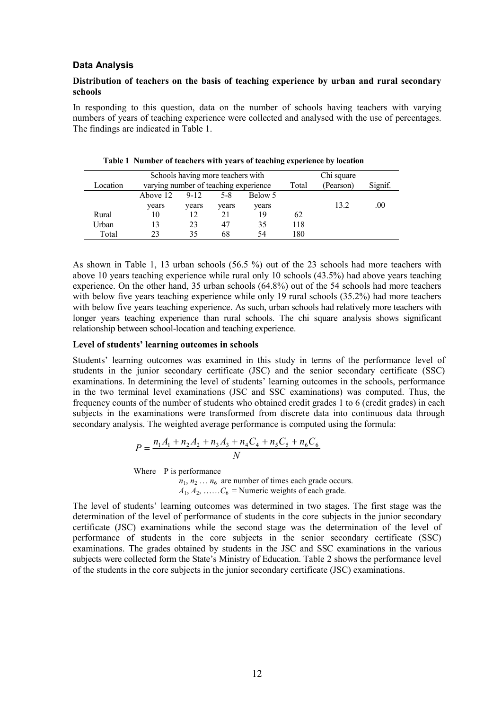#### **Data Analysis**

#### **Distribution of teachers on the basis of teaching experience by urban and rural secondary schools**

In responding to this question, data on the number of schools having teachers with varying numbers of years of teaching experience were collected and analysed with the use of percentages. The findings are indicated in Table 1.

|          | Schools having more teachers with     |                                                           |    |    | Chi square |           |         |  |
|----------|---------------------------------------|-----------------------------------------------------------|----|----|------------|-----------|---------|--|
| Location | varying number of teaching experience |                                                           |    |    | Total      | (Pearson) | Signif. |  |
|          | Above 12                              | Below 5<br>$9 - 12$<br>$5 - 8$<br>years<br>vears<br>years |    |    |            |           |         |  |
|          | years                                 |                                                           |    |    |            | 13.2      | .00     |  |
| Rural    | 10                                    | 12                                                        | 21 | 19 | 62         |           |         |  |
| Urban    |                                       | 23                                                        | 47 | 35 | 118        |           |         |  |
| Total    | つく                                    | 35                                                        | 68 | 54 | 180        |           |         |  |

|  |  |  |  | Table 1 Number of teachers with years of teaching experience by location |  |  |
|--|--|--|--|--------------------------------------------------------------------------|--|--|
|--|--|--|--|--------------------------------------------------------------------------|--|--|

As shown in Table 1, 13 urban schools (56.5 %) out of the 23 schools had more teachers with above 10 years teaching experience while rural only 10 schools (43.5%) had above years teaching experience. On the other hand, 35 urban schools (64.8%) out of the 54 schools had more teachers with below five years teaching experience while only 19 rural schools (35.2%) had more teachers with below five years teaching experience. As such, urban schools had relatively more teachers with longer years teaching experience than rural schools. The chi square analysis shows significant relationship between school-location and teaching experience.

#### **Level of students' learning outcomes in schools**

Students' learning outcomes was examined in this study in terms of the performance level of students in the junior secondary certificate (JSC) and the senior secondary certificate (SSC) examinations. In determining the level of students' learning outcomes in the schools, performance in the two terminal level examinations (JSC and SSC examinations) was computed. Thus, the frequency counts of the number of students who obtained credit grades 1 to 6 (credit grades) in each subjects in the examinations were transformed from discrete data into continuous data through secondary analysis. The weighted average performance is computed using the formula:

$$
P = \frac{n_1 A_1 + n_2 A_2 + n_3 A_3 + n_4 C_4 + n_5 C_5 + n_6 C_6}{N}
$$

Where P is performance

 $n_1$ ,  $n_2$  ...  $n_6$  are number of times each grade occurs.  $A_1, A_2, \ldots, C_6$  = Numeric weights of each grade.

The level of students' learning outcomes was determined in two stages. The first stage was the determination of the level of performance of students in the core subjects in the junior secondary certificate (JSC) examinations while the second stage was the determination of the level of performance of students in the core subjects in the senior secondary certificate (SSC) examinations. The grades obtained by students in the JSC and SSC examinations in the various subjects were collected form the State's Ministry of Education. Table 2 shows the performance level of the students in the core subjects in the junior secondary certificate (JSC) examinations.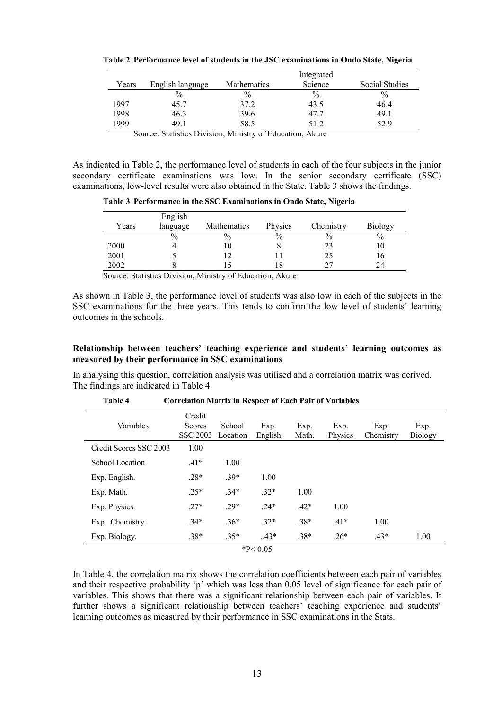|       |                  | Integrated         |         |                |  |  |
|-------|------------------|--------------------|---------|----------------|--|--|
| Years | English language | <b>Mathematics</b> | Science | Social Studies |  |  |
|       | $\%$             | $\frac{0}{0}$      | $\%$    | $\%$           |  |  |
| 1997  | 45.7             | 37.2               | 43.5    | 46.4           |  |  |
| 1998  | 46.3             | 39.6               | 47.7    | 49.1           |  |  |
| 1999  | 49 1             | 58.5               | 512     | 529            |  |  |

**Table 2 Performance level of students in the JSC examinations in Ondo State, 8igeria** 

Source: Statistics Division, Ministry of Education, Akure

As indicated in Table 2, the performance level of students in each of the four subjects in the junior secondary certificate examinations was low. In the senior secondary certificate (SSC) examinations, low-level results were also obtained in the State. Table 3 shows the findings.

**Table 3 Performance in the SSC Examinations in Ondo State, 8igeria** 

|       | English  |             |         |           |                |
|-------|----------|-------------|---------|-----------|----------------|
| Years | language | Mathematics | Physics | Chemistry | <b>Biology</b> |
|       | $\%$     | $\%$        | $\%$    | $\%$      | $\%$           |
| 2000  |          | 10          |         | 23        | 10             |
| 2001  |          |             |         | 25        | 16             |
| 2002  |          |             |         |           | 24             |

Source: Statistics Division, Ministry of Education, Akure

As shown in Table 3, the performance level of students was also low in each of the subjects in the SSC examinations for the three years. This tends to confirm the low level of students' learning outcomes in the schools.

#### **Relationship between teachers' teaching experience and students' learning outcomes as measured by their performance in SSC examinations**

In analysing this question, correlation analysis was utilised and a correlation matrix was derived. The findings are indicated in Table 4.

|                        | Credit          |          |         |        |         |           |                |  |
|------------------------|-----------------|----------|---------|--------|---------|-----------|----------------|--|
| Variables              | Scores          | School   | Exp.    | Exp.   | Exp.    | Exp.      | Exp.           |  |
|                        | <b>SSC 2003</b> | Location | English | Math.  | Physics | Chemistry | <b>Biology</b> |  |
| Credit Scores SSC 2003 | 1.00            |          |         |        |         |           |                |  |
| School Location        | $.41*$          | 1.00     |         |        |         |           |                |  |
| Exp. English.          | $.28*$          | $.39*$   | 1.00    |        |         |           |                |  |
| Exp. Math.             | $.25*$          | $.34*$   | $.32*$  | 1.00   |         |           |                |  |
| Exp. Physics.          | $.27*$          | $.29*$   | $.24*$  | $.42*$ | 1.00    |           |                |  |
| Exp. Chemistry.        | $.34*$          | $.36*$   | $.32*$  | $.38*$ | $.41*$  | 1.00      |                |  |
| Exp. Biology.          | $.38*$          | $.35*$   | $.43*$  | $.38*$ | $.26*$  | $.43*$    | 1.00           |  |
| $*P< 0.05$             |                 |          |         |        |         |           |                |  |

**Table 4 Correlation Matrix in Respect of Each Pair of Variables**

In Table 4, the correlation matrix shows the correlation coefficients between each pair of variables and their respective probability 'p' which was less than 0.05 level of significance for each pair of variables. This shows that there was a significant relationship between each pair of variables. It further shows a significant relationship between teachers' teaching experience and students' learning outcomes as measured by their performance in SSC examinations in the Stats.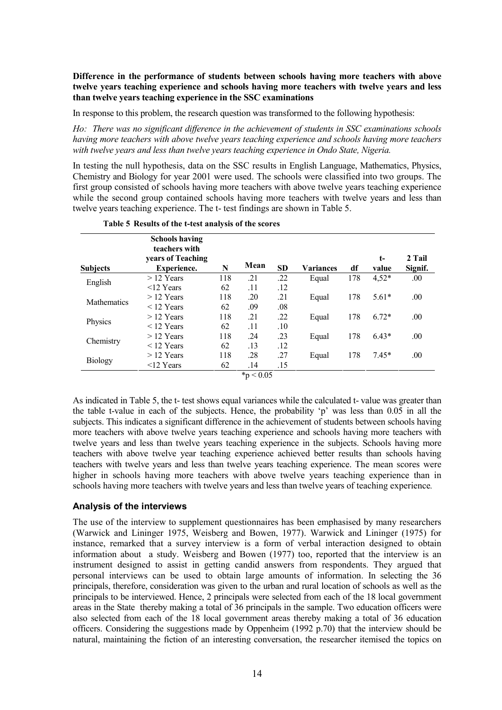#### **Difference in the performance of students between schools having more teachers with above twelve years teaching experience and schools having more teachers with twelve years and less than twelve years teaching experience in the SSC examinations**

In response to this problem, the research question was transformed to the following hypothesis:

*Ho: There was no significant difference in the achievement of students in SSC examinations schools having more teachers with above twelve years teaching experience and schools having more teachers*  with twelve years and less than twelve years teaching experience in Ondo State, Nigeria.

In testing the null hypothesis, data on the SSC results in English Language, Mathematics, Physics, Chemistry and Biology for year 2001 were used. The schools were classified into two groups. The first group consisted of schools having more teachers with above twelve years teaching experience while the second group contained schools having more teachers with twelve years and less than twelve years teaching experience. The t- test findings are shown in Table 5.

| <b>Subjects</b>    | <b>Schools having</b><br>teachers with<br>years of Teaching<br><b>Experience.</b> | N   | Mean         | <b>SD</b> | <b>Variances</b> | df  | $t-$<br>value | 2 Tail<br>Signif. |
|--------------------|-----------------------------------------------------------------------------------|-----|--------------|-----------|------------------|-----|---------------|-------------------|
| English            | $>$ 12 Years                                                                      | 118 | .21          | .22       | Equal            | 178 | $4,52*$       | .00.              |
|                    | $<$ 12 Years                                                                      | 62  | .11          | .12       |                  |     |               |                   |
|                    | $>$ 12 Years                                                                      | 118 | .20          | .21       | Equal            | 178 | $5.61*$       | .00.              |
| <b>Mathematics</b> | $<$ 12 Years                                                                      | 62  | .09          | .08       |                  |     |               |                   |
|                    | $>$ 12 Years                                                                      | 118 | .21          | .22       | Equal            | 178 | $6.72*$       | .00.              |
| Physics            | $<$ 12 Years                                                                      | 62  | .11          | .10       |                  |     |               |                   |
|                    | $>$ 12 Years                                                                      | 118 | .24          | .23       | Equal            | 178 | $6.43*$       | .00               |
| Chemistry          | $<$ 12 Years                                                                      | 62  | .13          | .12       |                  |     |               |                   |
| <b>Biology</b>     | $>$ 12 Years                                                                      | 118 | .28          | .27       | Equal            | 178 | $7.45*$       | .00               |
|                    | $\leq$ 12 Years                                                                   | 62  | .14          | .15       |                  |     |               |                   |
|                    |                                                                                   |     | $*_p$ < 0.05 |           |                  |     |               |                   |

**Table 5 Results of the t-test analysis of the scores** 

As indicated in Table 5, the t- test shows equal variances while the calculated t- value was greater than the table t-value in each of the subjects. Hence, the probability 'p' was less than 0.05 in all the subjects. This indicates a significant difference in the achievement of students between schools having more teachers with above twelve years teaching experience and schools having more teachers with twelve years and less than twelve years teaching experience in the subjects. Schools having more teachers with above twelve year teaching experience achieved better results than schools having teachers with twelve years and less than twelve years teaching experience. The mean scores were higher in schools having more teachers with above twelve years teaching experience than in

schools having more teachers with twelve years and less than twelve years of teaching experience*.*

### **Analysis of the interviews**

The use of the interview to supplement questionnaires has been emphasised by many researchers (Warwick and Lininger 1975, Weisberg and Bowen, 1977). Warwick and Lininger (1975) for instance, remarked that a survey interview is a form of verbal interaction designed to obtain information about a study. Weisberg and Bowen (1977) too, reported that the interview is an instrument designed to assist in getting candid answers from respondents. They argued that personal interviews can be used to obtain large amounts of information. In selecting the 36 principals, therefore, consideration was given to the urban and rural location of schools as well as the principals to be interviewed. Hence, 2 principals were selected from each of the 18 local government areas in the State thereby making a total of 36 principals in the sample. Two education officers were also selected from each of the 18 local government areas thereby making a total of 36 education officers. Considering the suggestions made by Oppenheim (1992 p.70) that the interview should be natural, maintaining the fiction of an interesting conversation, the researcher itemised the topics on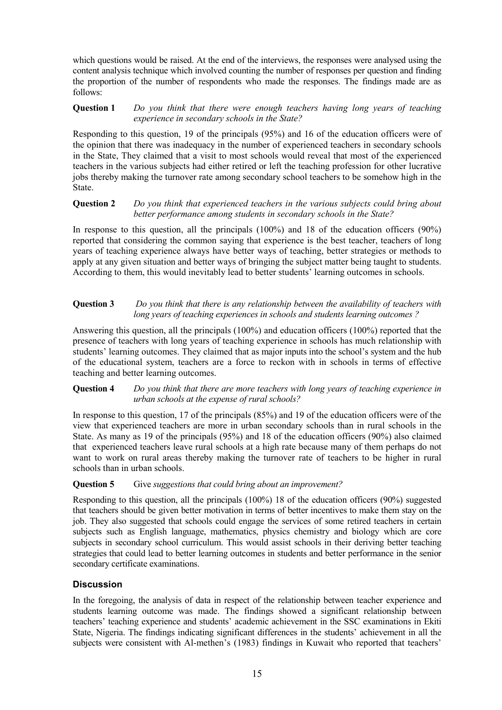which questions would be raised. At the end of the interviews, the responses were analysed using the content analysis technique which involved counting the number of responses per question and finding the proportion of the number of respondents who made the responses. The findings made are as follows:

**Question 1** *Do you think that there were enough teachers having long years of teaching experience in secondary schools in the State?* 

Responding to this question, 19 of the principals (95%) and 16 of the education officers were of the opinion that there was inadequacy in the number of experienced teachers in secondary schools in the State, They claimed that a visit to most schools would reveal that most of the experienced teachers in the various subjects had either retired or left the teaching profession for other lucrative jobs thereby making the turnover rate among secondary school teachers to be somehow high in the **State** 

#### **Question 2** *Do you think that experienced teachers in the various subjects could bring about better performance among students in secondary schools in the State?*

In response to this question, all the principals (100%) and 18 of the education officers (90%) reported that considering the common saying that experience is the best teacher, teachers of long years of teaching experience always have better ways of teaching, better strategies or methods to apply at any given situation and better ways of bringing the subject matter being taught to students. According to them, this would inevitably lead to better students' learning outcomes in schools.

### **Question 3** *Do you think that there is any relationship between the availability of teachers with long years of teaching experiences in schools and students learning outcomes ?*

Answering this question, all the principals (100%) and education officers (100%) reported that the presence of teachers with long years of teaching experience in schools has much relationship with students' learning outcomes. They claimed that as major inputs into the school's system and the hub of the educational system, teachers are a force to reckon with in schools in terms of effective teaching and better learning outcomes.

**Question 4** *Do you think that there are more teachers with long years of teaching experience in urban schools at the expense of rural schools?* 

In response to this question, 17 of the principals (85%) and 19 of the education officers were of the view that experienced teachers are more in urban secondary schools than in rural schools in the State. As many as 19 of the principals (95%) and 18 of the education officers (90%) also claimed that experienced teachers leave rural schools at a high rate because many of them perhaps do not want to work on rural areas thereby making the turnover rate of teachers to be higher in rural schools than in urban schools.

## **Question 5** Give *suggestions that could bring about an improvement?*

Responding to this question, all the principals (100%) 18 of the education officers (90%) suggested that teachers should be given better motivation in terms of better incentives to make them stay on the job. They also suggested that schools could engage the services of some retired teachers in certain subjects such as English language, mathematics, physics chemistry and biology which are core subjects in secondary school curriculum. This would assist schools in their deriving better teaching strategies that could lead to better learning outcomes in students and better performance in the senior secondary certificate examinations.

# **Discussion**

In the foregoing, the analysis of data in respect of the relationship between teacher experience and students learning outcome was made. The findings showed a significant relationship between teachers' teaching experience and students' academic achievement in the SSC examinations in Ekiti State, Nigeria. The findings indicating significant differences in the students' achievement in all the subjects were consistent with Al-methen's (1983) findings in Kuwait who reported that teachers'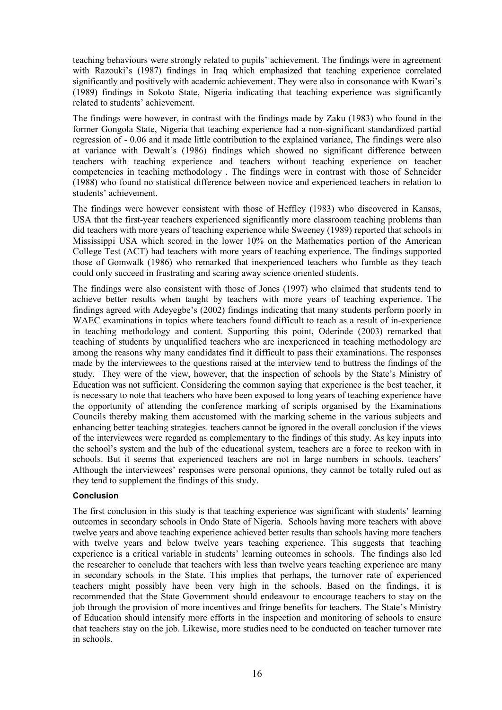teaching behaviours were strongly related to pupils' achievement. The findings were in agreement with Razouki's (1987) findings in Iraq which emphasized that teaching experience correlated significantly and positively with academic achievement. They were also in consonance with Kwari's (1989) findings in Sokoto State, Nigeria indicating that teaching experience was significantly related to students' achievement.

The findings were however, in contrast with the findings made by Zaku (1983) who found in the former Gongola State, Nigeria that teaching experience had a non-significant standardized partial regression of - 0.06 and it made little contribution to the explained variance, The findings were also at variance with Dewalt's (1986) findings which showed no significant difference between teachers with teaching experience and teachers without teaching experience on teacher competencies in teaching methodology . The findings were in contrast with those of Schneider (1988) who found no statistical difference between novice and experienced teachers in relation to students' achievement.

The findings were however consistent with those of Heffley (1983) who discovered in Kansas, USA that the first-year teachers experienced significantly more classroom teaching problems than did teachers with more years of teaching experience while Sweeney (1989) reported that schools in Mississippi USA which scored in the lower 10% on the Mathematics portion of the American College Test (ACT) had teachers with more years of teaching experience. The findings supported those of Gomwalk (1986) who remarked that inexperienced teachers who fumble as they teach could only succeed in frustrating and scaring away science oriented students.

The findings were also consistent with those of Jones (1997) who claimed that students tend to achieve better results when taught by teachers with more years of teaching experience. The findings agreed with Adeyegbe's (2002) findings indicating that many students perform poorly in WAEC examinations in topics where teachers found difficult to teach as a result of in-experience in teaching methodology and content. Supporting this point, Oderinde (2003) remarked that teaching of students by unqualified teachers who are inexperienced in teaching methodology are among the reasons why many candidates find it difficult to pass their examinations. The responses made by the interviewees to the questions raised at the interview tend to buttress the findings of the study. They were of the view, however, that the inspection of schools by the State's Ministry of Education was not sufficient. Considering the common saying that experience is the best teacher, it is necessary to note that teachers who have been exposed to long years of teaching experience have the opportunity of attending the conference marking of scripts organised by the Examinations Councils thereby making them accustomed with the marking scheme in the various subjects and enhancing better teaching strategies. teachers cannot be ignored in the overall conclusion if the views of the interviewees were regarded as complementary to the findings of this study. As key inputs into the school's system and the hub of the educational system, teachers are a force to reckon with in schools. But it seems that experienced teachers are not in large numbers in schools. teachers' Although the interviewees' responses were personal opinions, they cannot be totally ruled out as they tend to supplement the findings of this study.

#### **Conclusion**

The first conclusion in this study is that teaching experience was significant with students' learning outcomes in secondary schools in Ondo State of Nigeria. Schools having more teachers with above twelve years and above teaching experience achieved better results than schools having more teachers with twelve years and below twelve years teaching experience. This suggests that teaching experience is a critical variable in students' learning outcomes in schools. The findings also led the researcher to conclude that teachers with less than twelve years teaching experience are many in secondary schools in the State. This implies that perhaps, the turnover rate of experienced teachers might possibly have been very high in the schools. Based on the findings, it is recommended that the State Government should endeavour to encourage teachers to stay on the job through the provision of more incentives and fringe benefits for teachers. The State's Ministry of Education should intensify more efforts in the inspection and monitoring of schools to ensure that teachers stay on the job. Likewise, more studies need to be conducted on teacher turnover rate in schools.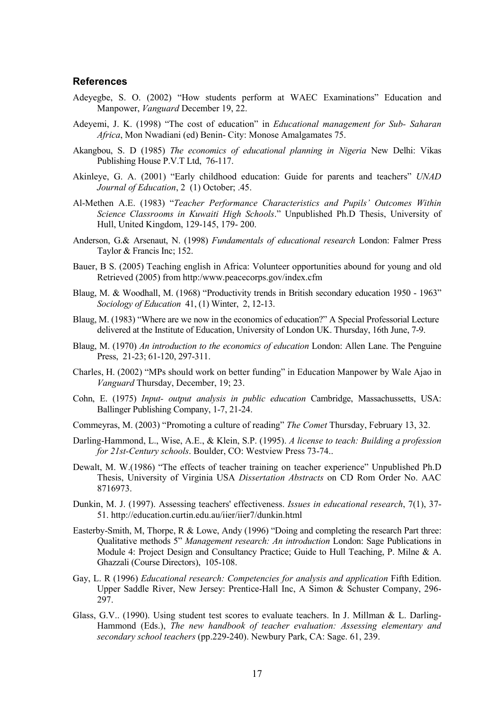#### **References**

- Adeyegbe, S. O. (2002) "How students perform at WAEC Examinations" Education and Manpower, *Vanguard* December 19, 22.
- Adeyemi, J. K. (1998) "The cost of education" in *Educational management for Sub- Saharan Africa*, Mon Nwadiani (ed) Benin- City: Monose Amalgamates 75.
- Akangbou, S. D (1985) *The economics of educational planning in Nigeria* New Delhi: Vikas Publishing House P.V.T Ltd, 76-117.
- Akinleye, G. A. (2001) "Early childhood education: Guide for parents and teachers" *UNAD Journal of Education*, 2 (1) October; .45.
- Al-Methen A.E. (1983) "*Teacher Performance Characteristics and Pupils' Outcomes Within Science Classrooms in Kuwaiti High Schools*." Unpublished Ph.D Thesis, University of Hull, United Kingdom, 129-145, 179- 200.
- Anderson, G.& Arsenaut, N. (1998) *Fundamentals of educational research* London: Falmer Press Taylor & Francis Inc; 152.
- Bauer, B S. (2005) Teaching english in Africa: Volunteer opportunities abound for young and old Retrieved (2005) from http:/www.peacecorps.gov/index.cfm
- Blaug, M. & Woodhall, M. (1968) "Productivity trends in British secondary education 1950 1963" *Sociology of Education* 41, (1) Winter, 2, 12-13.
- Blaug, M. (1983) "Where are we now in the economics of education?" A Special Professorial Lecture delivered at the Institute of Education, University of London UK. Thursday, 16th June, 7-9.
- Blaug, M. (1970) *An introduction to the economics of education* London: Allen Lane. The Penguine Press, 21-23; 61-120, 297-311.
- Charles, H. (2002) "MPs should work on better funding" in Education Manpower by Wale Ajao in *Vanguard* Thursday, December, 19; 23.
- Cohn, E. (1975) *Input- output analysis in public education* Cambridge, Massachussetts, USA: Ballinger Publishing Company, 1-7, 21-24.
- Commeyras, M. (2003) "Promoting a culture of reading" *The Comet* Thursday, February 13, 32.
- Darling-Hammond, L., Wise, A.E., & Klein, S.P. (1995). *A license to teach: Building a profession for 21st-Century schools*. Boulder, CO: Westview Press 73-74..
- Dewalt, M. W.(1986) "The effects of teacher training on teacher experience" Unpublished Ph.D Thesis, University of Virginia USA *Dissertation Abstracts* on CD Rom Order No. AAC 8716973.
- Dunkin, M. J. (1997). Assessing teachers' effectiveness. *Issues in educational research*, 7(1), 37- 51. http://education.curtin.edu.au/iier/iier7/dunkin.html
- Easterby-Smith, M, Thorpe, R & Lowe, Andy (1996) "Doing and completing the research Part three: Qualitative methods 5" *Management research: An introduction* London: Sage Publications in Module 4: Project Design and Consultancy Practice; Guide to Hull Teaching, P. Milne & A. Ghazzali (Course Directors), 105-108.
- Gay, L. R (1996) *Educational research: Competencies for analysis and application* Fifth Edition. Upper Saddle River, New Jersey: Prentice-Hall Inc, A Simon & Schuster Company, 296- 297.
- Glass, G.V.. (1990). Using student test scores to evaluate teachers. In J. Millman & L. Darling-Hammond (Eds.), *The new handbook of teacher evaluation: Assessing elementary and secondary school teachers* (pp.229-240). Newbury Park, CA: Sage. 61, 239.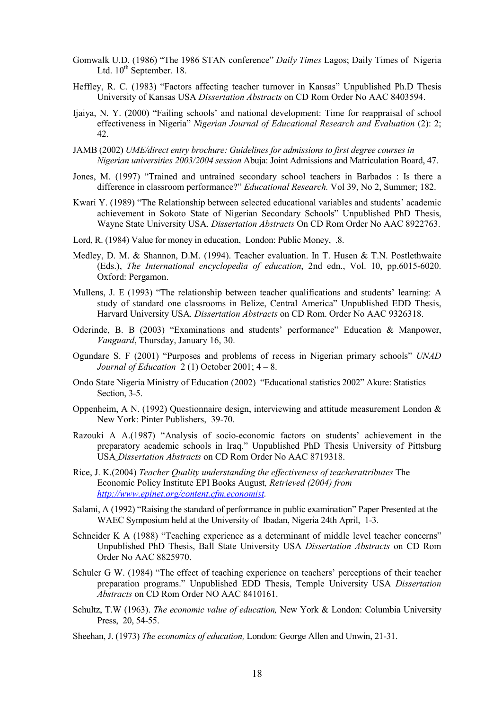- Gomwalk U.D. (1986) "The 1986 STAN conference" *Daily Times* Lagos; Daily Times of Nigeria Ltd.  $10^{th}$  September. 18.
- Heffley, R. C. (1983) "Factors affecting teacher turnover in Kansas" Unpublished Ph.D Thesis University of Kansas USA *Dissertation Abstracts* on CD Rom Order No AAC 8403594.
- Ijaiya, N. Y. (2000) "Failing schools' and national development: Time for reappraisal of school effectiveness in Nigeria" *Nigerian Journal of Educational Research and Evaluation* (2): 2; 42.
- JAMB (2002) *UME/direct entry brochure: Guidelines for admissions to first degree courses in +igerian universities 2003/2004 session* Abuja: Joint Admissions and Matriculation Board, 47.
- Jones, M. (1997) "Trained and untrained secondary school teachers in Barbados : Is there a difference in classroom performance?" *Educational Research.* Vol 39, No 2, Summer; 182.
- Kwari Y. (1989) "The Relationship between selected educational variables and students' academic achievement in Sokoto State of Nigerian Secondary Schools" Unpublished PhD Thesis, Wayne State University USA. *Dissertation Abstracts* On CD Rom Order No AAC 8922763.
- Lord, R. (1984) Value for money in education, London: Public Money, .8.
- Medley, D. M. & Shannon, D.M. (1994). Teacher evaluation. In T. Husen & T.N. Postlethwaite (Eds.), *The International encyclopedia of education*, 2nd edn., Vol. 10, pp.6015-6020. Oxford: Pergamon.
- Mullens, J. E (1993) "The relationship between teacher qualifications and students' learning: A study of standard one classrooms in Belize, Central America" Unpublished EDD Thesis, Harvard University USA*. Dissertation Abstracts* on CD Rom. Order No AAC 9326318.
- Oderinde, B. B (2003) "Examinations and students' performance" Education & Manpower, *Vanguard*, Thursday, January 16, 30.
- Ogundare S. F (2001) "Purposes and problems of recess in Nigerian primary schools" *UNAD Journal of Education* 2 (1) October 2001; 4 – 8.
- Ondo State Nigeria Ministry of Education (2002) "Educational statistics 2002" Akure: Statistics Section, 3-5.
- Oppenheim, A N. (1992) Questionnaire design, interviewing and attitude measurement London & New York: Pinter Publishers, 39-70.
- Razouki A A.(1987) "Analysis of socio-economic factors on students' achievement in the preparatory academic schools in Iraq." Unpublished PhD Thesis University of Pittsburg USA *Dissertation Abstracts* on CD Rom Order No AAC 8719318.
- Rice, J. K.(2004) *Teacher Quality understanding the effectiveness of teacherattributes* The Economic Policy Institute EPI Books August*, Retrieved (2004) from http://www.epinet.org/content.cfm.economist.*
- Salami, A (1992) "Raising the standard of performance in public examination" Paper Presented at the WAEC Symposium held at the University of Ibadan, Nigeria 24th April, 1-3.
- Schneider K A (1988) "Teaching experience as a determinant of middle level teacher concerns" Unpublished PhD Thesis, Ball State University USA *Dissertation Abstracts* on CD Rom Order No AAC 8825970.
- Schuler G W. (1984) "The effect of teaching experience on teachers' perceptions of their teacher preparation programs." Unpublished EDD Thesis, Temple University USA *Dissertation Abstracts* on CD Rom Order NO AAC 8410161.
- Schultz, T.W (1963). *The economic value of education,* New York & London: Columbia University Press, 20, 54-55.
- Sheehan, J. (1973) *The economics of education,* London: George Allen and Unwin, 21-31.